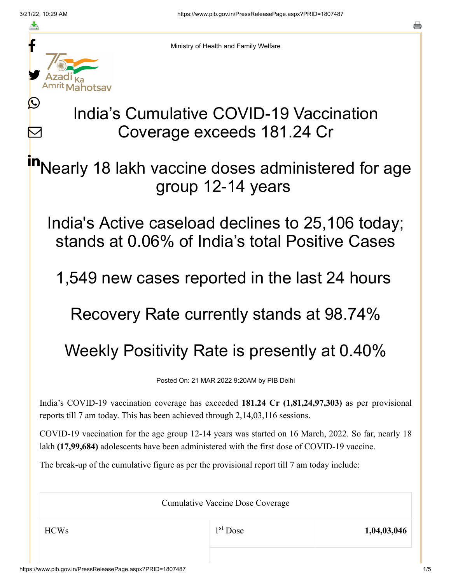≛

 $\bm{\nabla}$ 



Ministry of Health and Family Welfare

## India's Cumulative COVID-19 Vaccination Coverage exceeds 181.24 Cr

Nearly 18 lakh vaccine doses administered for age group 12-14 years in

India's Active caseload declines to 25,106 today; stands at 0.06% of India's total Positive Cases

1,549 new cases reported in the last 24 hours

Recovery Rate currently stands at 98.74%

## Weekly Positivity Rate is presently at 0.40%

Posted On: 21 MAR 2022 9:20AM by PIB Delhi

India's COVID-19 vaccination coverage has exceeded **181.24 Cr (1,81,24,97,303)** as per provisional reports till 7 am today. This has been achieved through 2,14,03,116 sessions.

COVID-19 vaccination for the age group 12-14 years was started on 16 March, 2022. So far, nearly 18 lakh **(17,99,684)** adolescents have been administered with the first dose of COVID-19 vaccine.

The break-up of the cumulative figure as per the provisional report till 7 am today include:

Cumulative Vaccine Dose Coverage HCWs 1,04,03,046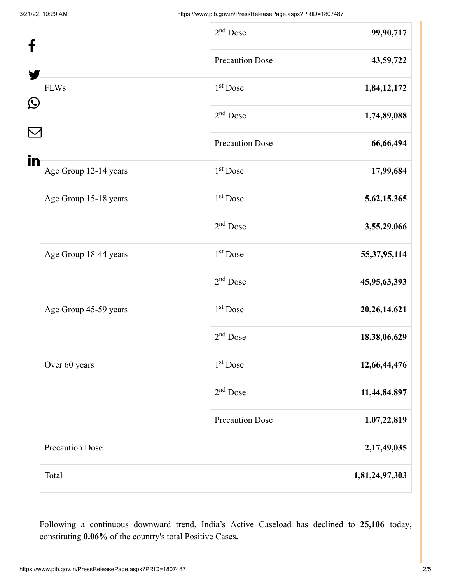| f<br>$\mathbf{\Omega}$<br>in |                        | $2nd$ Dose             | 99,90,717       |
|------------------------------|------------------------|------------------------|-----------------|
|                              |                        | <b>Precaution Dose</b> | 43,59,722       |
|                              | <b>FLWs</b>            | 1 <sup>st</sup> Dose   | 1,84,12,172     |
|                              |                        | $2nd$ Dose             | 1,74,89,088     |
|                              |                        | <b>Precaution Dose</b> | 66,66,494       |
|                              | Age Group 12-14 years  | $1st$ Dose             | 17,99,684       |
|                              | Age Group 15-18 years  | 1 <sup>st</sup> Dose   | 5,62,15,365     |
|                              |                        | $2nd$ Dose             | 3,55,29,066     |
|                              | Age Group 18-44 years  | 1 <sup>st</sup> Dose   | 55, 37, 95, 114 |
|                              |                        | $2nd$ Dose             | 45,95,63,393    |
|                              | Age Group 45-59 years  | 1 <sup>st</sup> Dose   | 20, 26, 14, 621 |
|                              |                        | $2nd$ Dose             | 18,38,06,629    |
|                              | Over 60 years          | 1 <sup>st</sup> Dose   | 12,66,44,476    |
|                              |                        | $2nd$ Dose             | 11,44,84,897    |
|                              |                        | <b>Precaution Dose</b> | 1,07,22,819     |
|                              | <b>Precaution Dose</b> |                        | 2,17,49,035     |
|                              | Total                  |                        | 1,81,24,97,303  |

Following a continuous downward trend, India's Active Caseload has declined to **25,106** today**,** constituting **0.06%** of the country's total Positive Cases**.**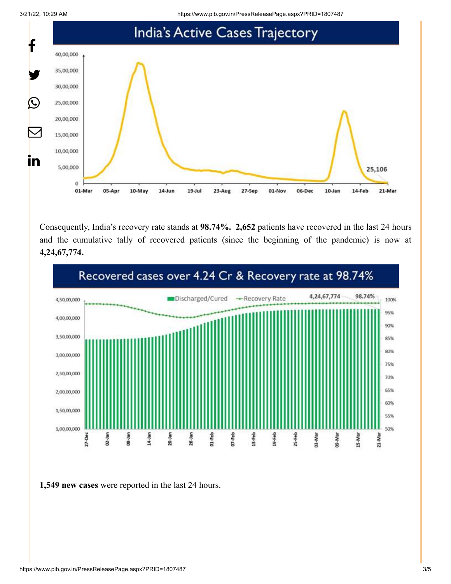

Consequently, India's recovery rate stands at **98.74%. 2,652** patients have recovered in the last 24 hours and the cumulative tally of recovered patients (since the beginning of the pandemic) is now at **4,24,67,774.**



**1,549 new cases** were reported in the last 24 hours.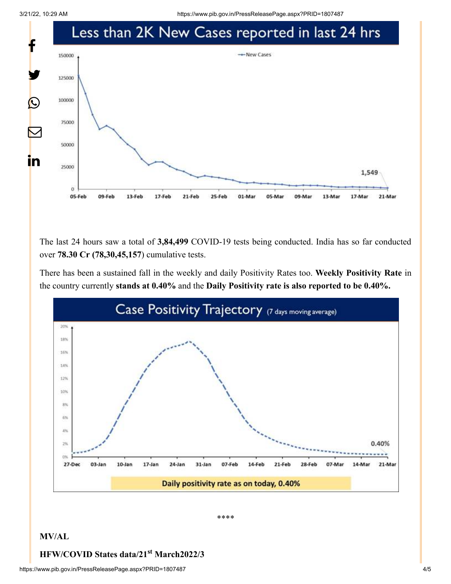3/21/22, 10:29 AM https://www.pib.gov.in/PressReleasePage.aspx?PRID=1807487



The last 24 hours saw a total of **3,84,499** COVID-19 tests being conducted. India has so far conducted over **78.30 Cr (78,30,45,157**) cumulative tests.

There has been a sustained fall in the weekly and daily Positivity Rates too. **Weekly Positivity Rate** in the country currently **stands at 0.40%** and the **Daily Positivity rate is also reported to be 0.40%.**



\*\*\*\*

## **MV/AL**

## **HFW/COVID States data/21<sup>st</sup> March2022/3**